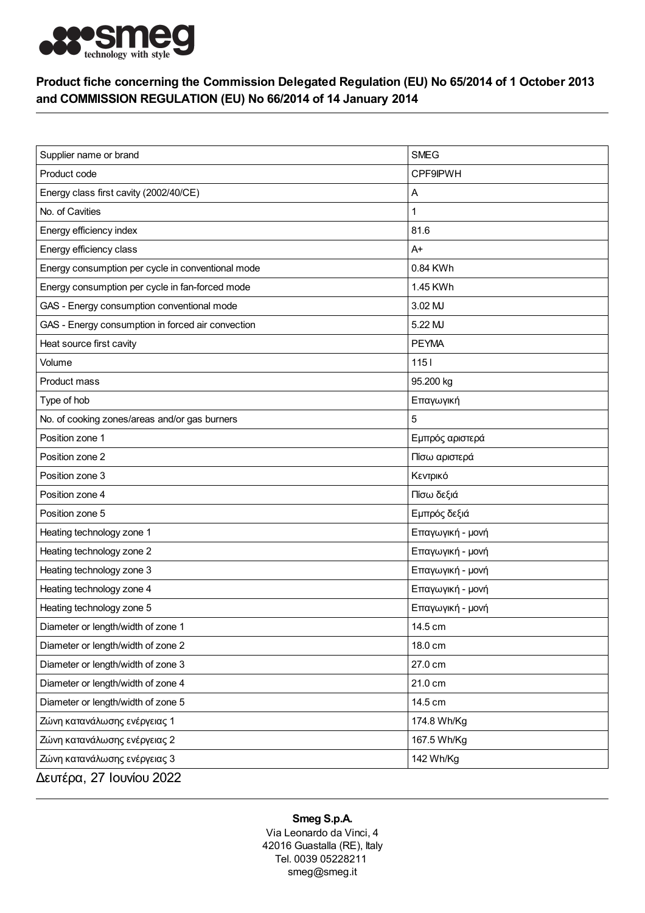

## Product fiche concerning the Commission Delegated Regulation (EU) No 65/2014 of 1 October 2013 and COMMISSION REGULATION (EU) No 66/2014 of 14 January 2014

| Supplier name or brand                            | <b>SMEG</b>      |
|---------------------------------------------------|------------------|
| Product code                                      | <b>CPF9IPWH</b>  |
| Energy class first cavity (2002/40/CE)            | Α                |
| No. of Cavities                                   | 1                |
| Energy efficiency index                           | 81.6             |
| Energy efficiency class                           | $A+$             |
| Energy consumption per cycle in conventional mode | 0.84 KWh         |
| Energy consumption per cycle in fan-forced mode   | 1.45 KWh         |
| GAS - Energy consumption conventional mode        | 3.02 MJ          |
| GAS - Energy consumption in forced air convection | 5.22 MJ          |
| Heat source first cavity                          | <b>PEYMA</b>     |
| Volume                                            | $1151$           |
| Product mass                                      | 95.200 kg        |
| Type of hob                                       | Επαγωγική        |
| No. of cooking zones/areas and/or gas burners     | 5                |
| Position zone 1                                   | Εμπρός αριστερά  |
| Position zone 2                                   | Πίσω αριστερά    |
| Position zone 3                                   | Κεντρικό         |
| Position zone 4                                   | Πίσω δεξιά       |
| Position zone 5                                   | Εμπρός δεξιά     |
| Heating technology zone 1                         | Επαγωγική - μονή |
| Heating technology zone 2                         | Επαγωγική - μονή |
| Heating technology zone 3                         | Επαγωγική - μονή |
| Heating technology zone 4                         | Επαγωγική - μονή |
| Heating technology zone 5                         | Επαγωγική - μονή |
| Diameter or length/width of zone 1                | 14.5 cm          |
| Diameter or length/width of zone 2                | 18.0 cm          |
| Diameter or length/width of zone 3                | 27.0 cm          |
| Diameter or length/width of zone 4                | 21.0 cm          |
| Diameter or length/width of zone 5                | 14.5 cm          |
| Ζώνη κατανάλωσης ενέργειας 1                      | 174.8 Wh/Kg      |
| Ζώνη κατανάλωσης ενέργειας 2                      | 167.5 Wh/Kg      |
| Ζώνη κατανάλωσης ενέργειας 3                      | 142 Wh/Kg        |
| Δευτέρα, 27 Ιουνίου 2022                          |                  |

## Smeg S.p.A.

Via Leonardo da Vinci, 4 42016 Guastalla (RE), Italy Tel. 0039 05228211 smeg@smeg.it